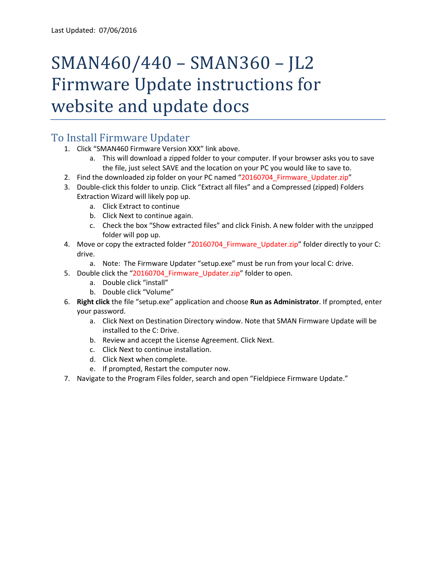## SMAN460/440 – SMAN360 – JL2 Firmware Update instructions for website and update docs

## To Install Firmware Updater

- 1. Click "SMAN460 Firmware Version XXX" link above.
	- a. This will download a zipped folder to your computer. If your browser asks you to save the file, just select SAVE and the location on your PC you would like to save to.
- 2. Find the downloaded zip folder on your PC named "20160704 Firmware Updater.zip"
- 3. Double-click this folder to unzip. Click "Extract all files" and a Compressed (zipped) Folders Extraction Wizard will likely pop up.
	- a. Click Extract to continue
	- b. Click Next to continue again.
	- c. Check the box "Show extracted files" and click Finish. A new folder with the unzipped folder will pop up.
- 4. Move or copy the extracted folder "20160704 Firmware Updater.zip" folder directly to your C: drive.
	- a. Note: The Firmware Updater "setup.exe" must be run from your local C: drive.
- 5. Double click the "20160704\_Firmware\_Updater.zip" folder to open.
	- a. Double click "install"
	- b. Double click "Volume"
- 6. **Right click** the file "setup.exe" application and choose **Run as Administrator**. If prompted, enter your password.
	- a. Click Next on Destination Directory window. Note that SMAN Firmware Update will be installed to the C: Drive.
	- b. Review and accept the License Agreement. Click Next.
	- c. Click Next to continue installation.
	- d. Click Next when complete.
	- e. If prompted, Restart the computer now.
- 7. Navigate to the Program Files folder, search and open "Fieldpiece Firmware Update."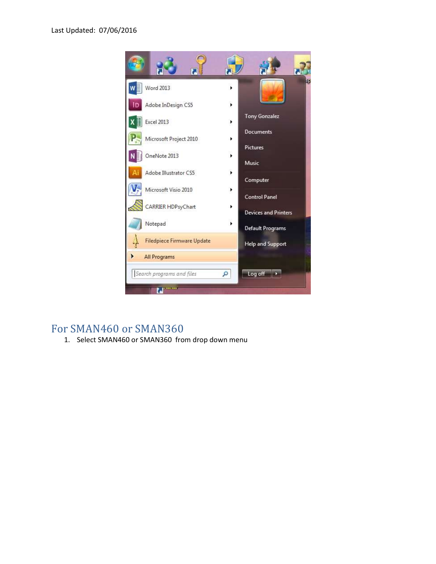

## For SMAN460 or SMAN360

1. Select SMAN460 or SMAN360 from drop down menu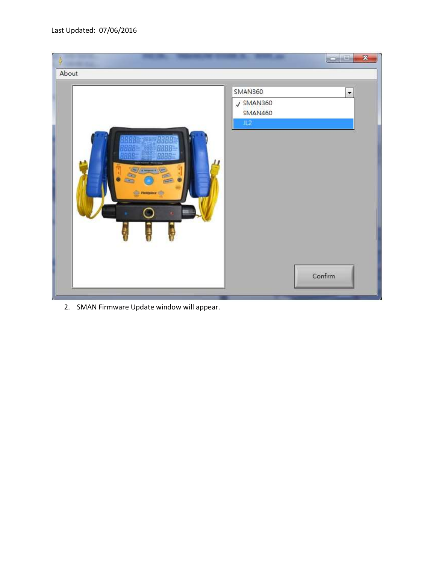

2. SMAN Firmware Update window will appear.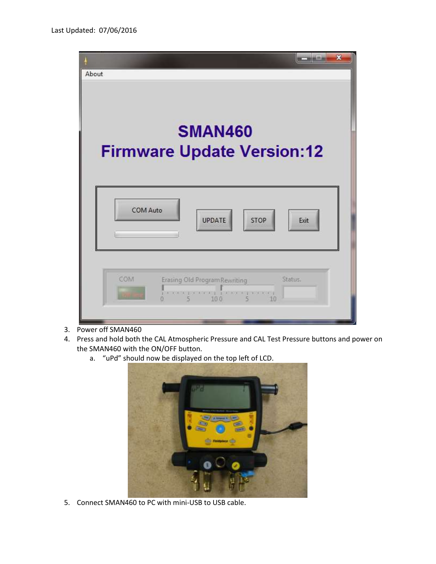| $\overline{\mathbf{x}}$<br>About                           |
|------------------------------------------------------------|
| <b>SMAN460</b><br><b>Firmware Update Version:12</b>        |
| COM Auto<br><b>UPDATE</b><br>STOP<br>Exit                  |
| COM<br>Erasing Old Program Rewriting<br>Status.<br>W<br>10 |

- 3. Power off SMAN460
- 4. Press and hold both the CAL Atmospheric Pressure and CAL Test Pressure buttons and power on the SMAN460 with the ON/OFF button.
	- a. "uPd" should now be displayed on the top left of LCD.



5. Connect SMAN460 to PC with mini-USB to USB cable.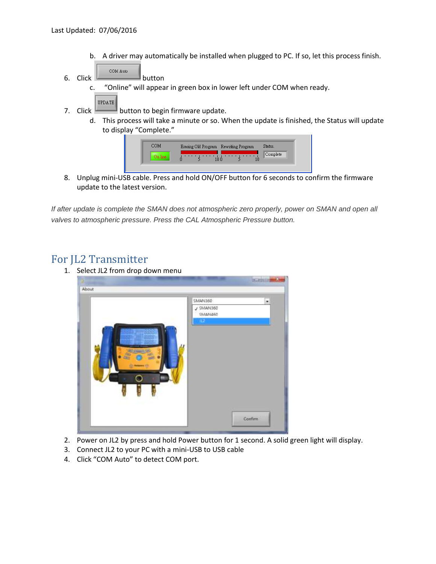- b. A driver may automatically be installed when plugged to PC. If so, let this process finish. COM Auto
- 6. Click  $b$  button
	- c. "Online" will appear in green box in lower left under COM when ready.
- **UPDATE** 7. Click button to begin firmware update.
	- d. This process will take a minute or so. When the update is finished, the Status will update to display "Complete."



8. Unplug mini-USB cable. Press and hold ON/OFF button for 6 seconds to confirm the firmware update to the latest version.

*If after update is complete the SMAN does not atmospheric zero properly, power on SMAN and open all valves to atmospheric pressure. Press the CAL Atmospheric Pressure button.*

## For JL2 Transmitter

1. Select JL2 from drop down menu



- 2. Power on JL2 by press and hold Power button for 1 second. A solid green light will display.
- 3. Connect JL2 to your PC with a mini-USB to USB cable
- 4. Click "COM Auto" to detect COM port.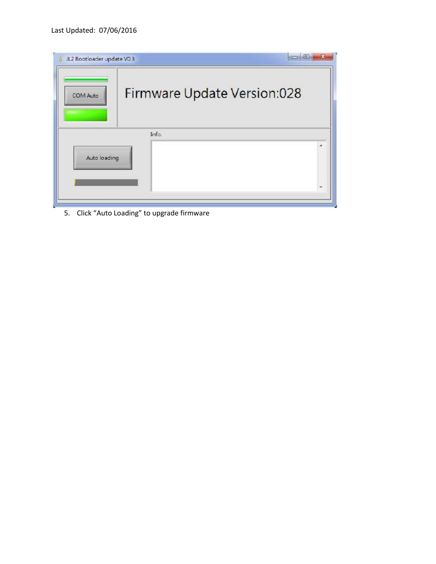| JL2 Bootloader update VO.3<br>COM Auto | Firmware Update Version:028 |  |
|----------------------------------------|-----------------------------|--|
| Auto loading                           | Info.                       |  |
|                                        |                             |  |

5. Click "Auto Loading" to upgrade firmware